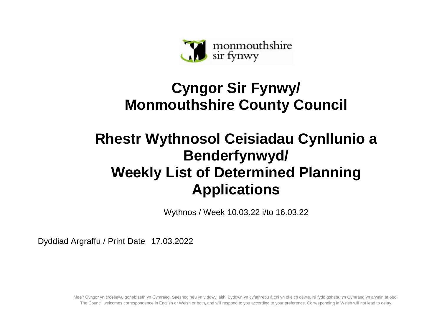

## **Cyngor Sir Fynwy/ Monmouthshire County Council**

## **Rhestr Wythnosol Ceisiadau Cynllunio a Benderfynwyd/ Weekly List of Determined Planning Applications**

Wythnos / Week 10.03.22 i/to 16.03.22

Dyddiad Argraffu / Print Date 17.03.2022

Mae'r Cyngor yn croesawu gohebiaeth yn Gymraeg, Saesneg neu yn y ddwy iaith. Byddwn yn cyfathrebu â chi yn ôl eich dewis. Ni fydd gohebu yn Gymraeg yn arwain at oedi. The Council welcomes correspondence in English or Welsh or both, and will respond to you according to your preference. Corresponding in Welsh will not lead to delay.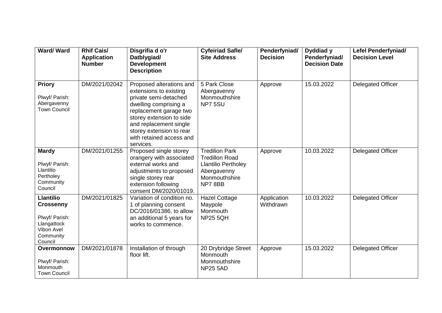| Ward/Ward                                                                                                          | <b>Rhif Cais/</b><br><b>Application</b><br><b>Number</b> | Disgrifia d o'r<br>Datblygiad/<br><b>Development</b><br><b>Description</b>                                                                                                                                                                                | <b>Cyfeiriad Safle/</b><br><b>Site Address</b>                                                                         | Penderfyniad/<br><b>Decision</b> | Dyddiad y<br>Penderfyniad/<br><b>Decision Date</b> | <b>Lefel Penderfyniad/</b><br><b>Decision Level</b> |
|--------------------------------------------------------------------------------------------------------------------|----------------------------------------------------------|-----------------------------------------------------------------------------------------------------------------------------------------------------------------------------------------------------------------------------------------------------------|------------------------------------------------------------------------------------------------------------------------|----------------------------------|----------------------------------------------------|-----------------------------------------------------|
| <b>Priory</b><br>Plwyf/ Parish:<br>Abergavenny<br><b>Town Council</b>                                              | DM/2021/02042                                            | Proposed alterations and<br>extensions to existing<br>private semi-detached<br>dwelling comprising a<br>replacement garage two<br>storey extension to side<br>and replacement single<br>storey extension to rear<br>with retained access and<br>services. | 5 Park Close<br>Abergavenny<br>Monmouthshire<br>NP75SU                                                                 | Approve                          | 15.03.2022                                         | <b>Delegated Officer</b>                            |
| <b>Mardy</b><br>Plwyf/ Parish:<br>Llantilio<br>Pertholey<br>Community<br>Council                                   | DM/2021/01255                                            | Proposed single storey<br>orangery with associated<br>external works and<br>adjustments to proposed<br>single storey rear<br>extension following<br>consent DM/2020/01019.                                                                                | <b>Tredilion Park</b><br><b>Tredillon Road</b><br><b>Llantilio Pertholey</b><br>Abergavenny<br>Monmouthshire<br>NP78BB | Approve                          | 10.03.2022                                         | <b>Delegated Officer</b>                            |
| <b>Llantilio</b><br><b>Crossenny</b><br>Plwyf/ Parish:<br>Llangattock<br><b>Vibon Avel</b><br>Community<br>Council | DM/2021/01825                                            | Variation of condition no.<br>1 of planning consent<br>DC/2016/01386, to allow<br>an additional 5 years for<br>works to commence.                                                                                                                         | <b>Hazel Cottage</b><br>Maypole<br>Monmouth<br><b>NP25 5QH</b>                                                         | Application<br>Withdrawn         | 10.03.2022                                         | <b>Delegated Officer</b>                            |
| Overmonnow<br>Plwyf/ Parish:<br>Monmouth<br><b>Town Council</b>                                                    | DM/2021/01878                                            | Installation of through<br>floor lift.                                                                                                                                                                                                                    | 20 Drybridge Street<br>Monmouth<br>Monmouthshire<br><b>NP25 5AD</b>                                                    | Approve                          | 15.03.2022                                         | <b>Delegated Officer</b>                            |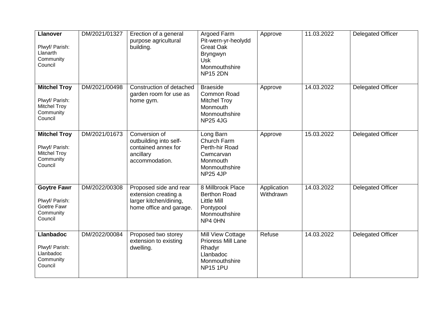| <b>Llanover</b><br>Plwyf/ Parish:<br>Llanarth<br>Community<br>Council                | DM/2021/01327 | Erection of a general<br>purpose agricultural<br>building.                                          | Argoed Farm<br>Pit-wern-yr-heolydd<br><b>Great Oak</b><br><b>Bryngwyn</b><br><b>Usk</b><br>Monmouthshire<br><b>NP15 2DN</b> | Approve                  | 11.03.2022 | Delegated Officer        |
|--------------------------------------------------------------------------------------|---------------|-----------------------------------------------------------------------------------------------------|-----------------------------------------------------------------------------------------------------------------------------|--------------------------|------------|--------------------------|
| <b>Mitchel Troy</b><br>Plwyf/ Parish:<br><b>Mitchel Troy</b><br>Community<br>Council | DM/2021/00498 | Construction of detached<br>garden room for use as<br>home gym.                                     | <b>Braeside</b><br>Common Road<br><b>Mitchel Troy</b><br>Monmouth<br>Monmouthshire<br><b>NP25 4JG</b>                       | Approve                  | 14.03.2022 | Delegated Officer        |
| <b>Mitchel Troy</b><br>Plwyf/ Parish:<br><b>Mitchel Troy</b><br>Community<br>Council | DM/2021/01673 | Conversion of<br>outbuilding into self-<br>contained annex for<br>ancillary<br>accommodation.       | Long Barn<br>Church Farm<br>Perth-hir Road<br>Cwmcarvan<br>Monmouth<br>Monmouthshire<br><b>NP25 4JP</b>                     | Approve                  | 15.03.2022 | Delegated Officer        |
| <b>Goytre Fawr</b><br>Plwyf/ Parish:<br>Goetre Fawr<br>Community<br>Council          | DM/2022/00308 | Proposed side and rear<br>extension creating a<br>larger kitchen/dining,<br>home office and garage. | 8 Millbrook Place<br><b>Berthon Road</b><br><b>Little Mill</b><br>Pontypool<br>Monmouthshire<br>NP4 0HN                     | Application<br>Withdrawn | 14.03.2022 | Delegated Officer        |
| <b>Llanbadoc</b><br>Plwyf/ Parish:<br>Llanbadoc<br>Community<br>Council              | DM/2022/00084 | Proposed two storey<br>extension to existing<br>dwelling.                                           | Mill View Cottage<br>Prioress Mill Lane<br>Rhadyr<br>Llanbadoc<br>Monmouthshire<br><b>NP15 1PU</b>                          | Refuse                   | 14.03.2022 | <b>Delegated Officer</b> |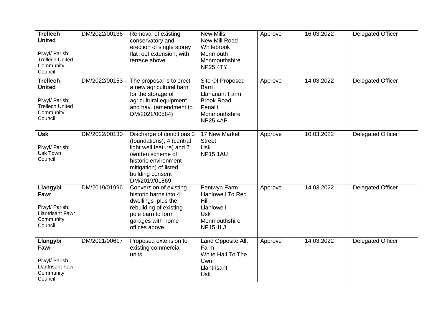| <b>Trellech</b><br><b>United</b><br>Plwyf/ Parish:<br><b>Trellech United</b><br>Community<br>Council | DM/2022/00136 | Removal of existing<br>conservatory and<br>erection of single storey<br>flat roof extension, with<br>terrace above.                                                                             | <b>New Mills</b><br>New Mill Road<br>Whitebrook<br>Monmouth<br>Monmouthshire<br><b>NP25 4TY</b>                              | Approve | 16.03.2022 | <b>Delegated Officer</b> |
|------------------------------------------------------------------------------------------------------|---------------|-------------------------------------------------------------------------------------------------------------------------------------------------------------------------------------------------|------------------------------------------------------------------------------------------------------------------------------|---------|------------|--------------------------|
| <b>Trellech</b><br><b>United</b><br>Plwyf/ Parish:<br><b>Trellech United</b><br>Community<br>Council | DM/2022/00153 | The proposal is to erect<br>a new agricultural barn<br>for the storage of<br>agricultural equipment<br>and hay. (amendment to<br>DM/2021/00584)                                                 | Site Of Proposed<br><b>Barn</b><br><b>Llananant Farm</b><br><b>Brook Road</b><br>Penallt<br>Monmouthshire<br><b>NP25 4AP</b> | Approve | 14.03.2022 | <b>Delegated Officer</b> |
| <b>Usk</b><br>Plwyf/ Parish:<br>Usk Town<br>Council                                                  | DM/2022/00130 | Discharge of conditions 3<br>(foundations), 4 (central<br>light well feature) and 7<br>(written scheme of<br>historic environment<br>mitigation) of listed<br>building consent<br>DM/2019/01869 | 17 New Market<br><b>Street</b><br><b>Usk</b><br><b>NP15 1AU</b>                                                              | Approve | 10.03.2022 | <b>Delegated Officer</b> |
| Llangybi<br>Fawr<br>Plwyf/ Parish:<br><b>Llantrisant Fawr</b><br>Community<br>Council                | DM/2019/01996 | Conversion of existing<br>historic barns into 4<br>dwellings plus the<br>rebuilding of existing<br>pole barn to form<br>garages with home<br>offices above.                                     | Pentwyn Farm<br><b>Llanlowell To Red</b><br>Hill<br>Llanlowell<br><b>Usk</b><br>Monmouthshire<br><b>NP151LJ</b>              | Approve | 14.03.2022 | Delegated Officer        |
| Llangybi<br>Fawr<br>Plwyf/ Parish:<br><b>Llantrisant Fawr</b><br>Community<br>Council                | DM/2021/00617 | Proposed extension to<br>existing commercial<br>units.                                                                                                                                          | Land Opposite Allt<br>Farm<br>White Hall To The<br>Cwm<br>Llantrisant<br><b>Usk</b>                                          | Approve | 14.03.2022 | Delegated Officer        |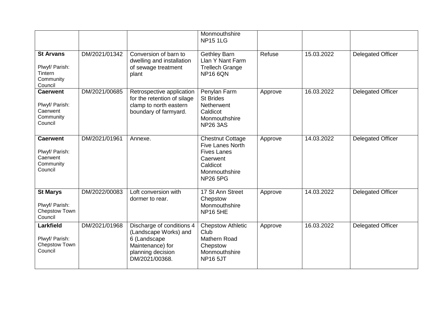|                                                                       |               |                                                                                                                               | Monmouthshire<br><b>NP15 1LG</b>                                                                                                     |         |            |                          |
|-----------------------------------------------------------------------|---------------|-------------------------------------------------------------------------------------------------------------------------------|--------------------------------------------------------------------------------------------------------------------------------------|---------|------------|--------------------------|
| <b>St Arvans</b><br>Plwyf/ Parish:<br>Tintern<br>Community<br>Council | DM/2021/01342 | Conversion of barn to<br>dwelling and installation<br>of sewage treatment<br>plant                                            | <b>Gethley Barn</b><br>Llan Y Nant Farm<br><b>Trellech Grange</b><br><b>NP16 6QN</b>                                                 | Refuse  | 15.03.2022 | <b>Delegated Officer</b> |
| <b>Caerwent</b><br>Plwyf/ Parish:<br>Caerwent<br>Community<br>Council | DM/2021/00685 | Retrospective application<br>for the retention of silage<br>clamp to north eastern<br>boundary of farmyard.                   | Penylan Farm<br><b>St Brides</b><br>Netherwent<br>Caldicot<br>Monmouthshire<br><b>NP26 3AS</b>                                       | Approve | 16.03.2022 | <b>Delegated Officer</b> |
| <b>Caerwent</b><br>Plwyf/ Parish:<br>Caerwent<br>Community<br>Council | DM/2021/01961 | Annexe.                                                                                                                       | <b>Chestnut Cottage</b><br><b>Five Lanes North</b><br><b>Fives Lanes</b><br>Caerwent<br>Caldicot<br>Monmouthshire<br><b>NP26 5PG</b> | Approve | 14.03.2022 | <b>Delegated Officer</b> |
| <b>St Marys</b><br>Plwyf/ Parish:<br>Chepstow Town<br>Council         | DM/2022/00083 | Loft conversion with<br>dormer to rear.                                                                                       | 17 St Ann Street<br>Chepstow<br>Monmouthshire<br><b>NP16 5HE</b>                                                                     | Approve | 14.03.2022 | <b>Delegated Officer</b> |
| Larkfield<br>Plwyf/ Parish:<br>Chepstow Town<br>Council               | DM/2021/01968 | Discharge of conditions 4<br>(Landscape Works) and<br>6 (Landscape<br>Maintenance) for<br>planning decision<br>DM/2021/00368. | <b>Chepstow Athletic</b><br>Club<br>Mathern Road<br>Chepstow<br>Monmouthshire<br><b>NP16 5JT</b>                                     | Approve | 16.03.2022 | <b>Delegated Officer</b> |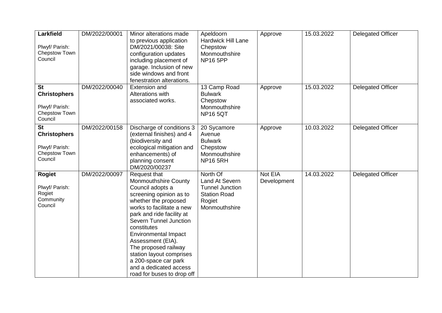| <b>Larkfield</b><br>Plwyf/ Parish:<br>Chepstow Town<br>Council                 | DM/2022/00001 | Minor alterations made<br>to previous application<br>DM/2021/00038: Site<br>configuration updates<br>including placement of<br>garage. Inclusion of new<br>side windows and front<br>fenestration alterations.                                                                                                                                                                                                | Apeldoorn<br><b>Hardwick Hill Lane</b><br>Chepstow<br>Monmouthshire<br><b>NP16 5PP</b>                 | Approve                | 15.03.2022 | <b>Delegated Officer</b> |
|--------------------------------------------------------------------------------|---------------|---------------------------------------------------------------------------------------------------------------------------------------------------------------------------------------------------------------------------------------------------------------------------------------------------------------------------------------------------------------------------------------------------------------|--------------------------------------------------------------------------------------------------------|------------------------|------------|--------------------------|
| <b>St</b><br><b>Christophers</b><br>Plwyf/ Parish:<br>Chepstow Town<br>Council | DM/2022/00040 | <b>Extension and</b><br>Alterations with<br>associated works.                                                                                                                                                                                                                                                                                                                                                 | 13 Camp Road<br><b>Bulwark</b><br>Chepstow<br>Monmouthshire<br><b>NP165QT</b>                          | Approve                | 15.03.2022 | Delegated Officer        |
| <b>St</b><br><b>Christophers</b><br>Plwyf/ Parish:<br>Chepstow Town<br>Council | DM/2022/00158 | Discharge of conditions 3<br>(external finishes) and 4<br>(biodiversity and<br>ecological mitigation and<br>enhancements) of<br>planning consent<br>DM/2020/00237                                                                                                                                                                                                                                             | 20 Sycamore<br>Avenue<br><b>Bulwark</b><br>Chepstow<br>Monmouthshire<br><b>NP16 5RH</b>                | Approve                | 10.03.2022 | <b>Delegated Officer</b> |
| <b>Rogiet</b><br>Plwyf/ Parish:<br>Rogiet<br>Community<br>Council              | DM/2022/00097 | Request that<br><b>Monmouthshire County</b><br>Council adopts a<br>screening opinion as to<br>whether the proposed<br>works to facilitate a new<br>park and ride facility at<br>Severn Tunnel Junction<br>constitutes<br><b>Environmental Impact</b><br>Assessment (EIA).<br>The proposed railway<br>station layout comprises<br>a 200-space car park<br>and a dedicated access<br>road for buses to drop off | North Of<br>Land At Severn<br><b>Tunnel Junction</b><br><b>Station Road</b><br>Rogiet<br>Monmouthshire | Not EIA<br>Development | 14.03.2022 | Delegated Officer        |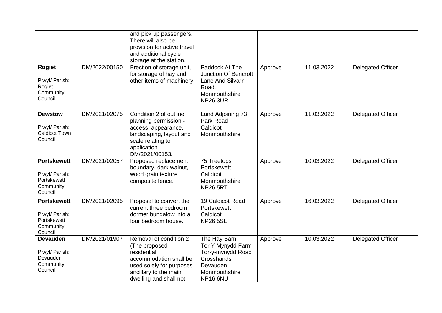|                                                                             |               | and pick up passengers.<br>There will also be<br>provision for active travel<br>and additional cycle<br>storage at the station.                                 |                                                                                                                |         |            |                          |
|-----------------------------------------------------------------------------|---------------|-----------------------------------------------------------------------------------------------------------------------------------------------------------------|----------------------------------------------------------------------------------------------------------------|---------|------------|--------------------------|
| <b>Rogiet</b><br>Plwyf/ Parish:<br>Rogiet<br>Community<br>Council           | DM/2022/00150 | Erection of storage unit,<br>for storage of hay and<br>other items of machinery.                                                                                | Paddock At The<br><b>Junction Of Bencroft</b><br>Lane And Silvarn<br>Road.<br>Monmouthshire<br><b>NP26 3UR</b> | Approve | 11.03.2022 | <b>Delegated Officer</b> |
| <b>Dewstow</b><br>Plwyf/ Parish:<br><b>Caldicot Town</b><br>Council         | DM/2021/02075 | Condition 2 of outline<br>planning permission -<br>access, appearance,<br>landscaping, layout and<br>scale relating to<br>application<br>DM/2021/00153.         | Land Adjoining 73<br>Park Road<br>Caldicot<br>Monmouthshire                                                    | Approve | 11.03.2022 | <b>Delegated Officer</b> |
| <b>Portskewett</b><br>Plwyf/ Parish:<br>Portskewett<br>Community<br>Council | DM/2021/02057 | Proposed replacement<br>boundary, dark walnut,<br>wood grain texture<br>composite fence.                                                                        | 75 Treetops<br>Portskewett<br>Caldicot<br>Monmouthshire<br><b>NP26 5RT</b>                                     | Approve | 10.03.2022 | <b>Delegated Officer</b> |
| <b>Portskewett</b><br>Plwyf/ Parish:<br>Portskewett<br>Community<br>Council | DM/2021/02095 | Proposal to convert the<br>current three bedroom<br>dormer bungalow into a<br>four bedroom house.                                                               | 19 Caldicot Road<br>Portskewett<br>Caldicot<br><b>NP26 5SL</b>                                                 | Approve | 16.03.2022 | <b>Delegated Officer</b> |
| <b>Devauden</b><br>Plwyf/ Parish:<br>Devauden<br>Community<br>Council       | DM/2021/01907 | Removal of condition 2<br>(The proposed<br>residential<br>accommodation shall be<br>used solely for purposes<br>ancillary to the main<br>dwelling and shall not | The Hay Barn<br>Tor Y Mynydd Farm<br>Tor-y-mynydd Road<br>Crosshands<br>Devauden<br>Monmouthshire<br>NP166NU   | Approve | 10.03.2022 | <b>Delegated Officer</b> |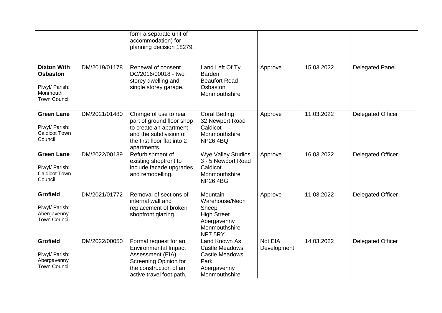|                                                                                            |               | form a separate unit of<br>accommodation) for<br>planning decision 18279.                                                                               |                                                                                                         |                        |            |                          |
|--------------------------------------------------------------------------------------------|---------------|---------------------------------------------------------------------------------------------------------------------------------------------------------|---------------------------------------------------------------------------------------------------------|------------------------|------------|--------------------------|
| <b>Dixton With</b><br><b>Osbaston</b><br>Plwyf/ Parish:<br>Monmouth<br><b>Town Council</b> | DM/2019/01178 | Renewal of consent<br>DC/2016/00018 - two<br>storey dwelling and<br>single storey garage.                                                               | Land Left Of Ty<br><b>Barden</b><br><b>Beaufort Road</b><br>Osbaston<br>Monmouthshire                   | Approve                | 15.03.2022 | <b>Delegated Panel</b>   |
| <b>Green Lane</b><br>Plwyf/ Parish:<br><b>Caldicot Town</b><br>Council                     | DM/2021/01480 | Change of use to rear<br>part of ground floor shop<br>to create an apartment<br>and the subdivision of<br>the first floor flat into 2<br>apartments.    | <b>Coral Betting</b><br>32 Newport Road<br>Caldicot<br>Monmouthshire<br><b>NP264BQ</b>                  | Approve                | 11.03.2022 | <b>Delegated Officer</b> |
| <b>Green Lane</b><br>Plwyf/ Parish:<br>Caldicot Town<br>Council                            | DM/2022/00139 | Refurbishment of<br>existing shopfront to<br>include facade upgrades<br>and remodelling.                                                                | <b>Wye Valley Studios</b><br>3 - 5 Newport Road<br>Caldicot<br>Monmouthshire<br><b>NP264BG</b>          | Approve                | 16.03.2022 | <b>Delegated Officer</b> |
| <b>Grofield</b><br>Plwyf/ Parish:<br>Abergavenny<br><b>Town Council</b>                    | DM/2021/01772 | Removal of sections of<br>internal wall and<br>replacement of broken<br>shopfront glazing.                                                              | Mountain<br>Warehouse/Neon<br>Sheep<br><b>High Street</b><br>Abergavenny<br>Monmouthshire<br>NP75RY     | Approve                | 11.03.2022 | <b>Delegated Officer</b> |
| <b>Grofield</b><br>Plwyf/ Parish:<br>Abergavenny<br><b>Town Council</b>                    | DM/2022/00050 | Formal request for an<br><b>Environmental Impact</b><br>Assessment (EIA)<br>Screening Opinion for<br>the construction of an<br>active travel foot path, | Land Known As<br><b>Castle Meadows</b><br><b>Castle Meadows</b><br>Park<br>Abergavenny<br>Monmouthshire | Not EIA<br>Development | 14.03.2022 | <b>Delegated Officer</b> |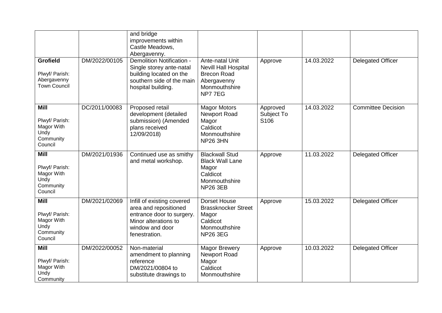|                                                                             |               | and bridge<br>improvements within<br>Castle Meadows,<br>Abergavenny.                                                                         |                                                                                                            |                                |            |                           |
|-----------------------------------------------------------------------------|---------------|----------------------------------------------------------------------------------------------------------------------------------------------|------------------------------------------------------------------------------------------------------------|--------------------------------|------------|---------------------------|
| <b>Grofield</b><br>Plwyf/ Parish:<br>Abergavenny<br><b>Town Council</b>     | DM/2022/00105 | Demolition Notification -<br>Single storey ante-natal<br>building located on the<br>southern side of the main<br>hospital building.          | Ante-natal Unit<br>Nevill Hall Hospital<br><b>Brecon Road</b><br>Abergavenny<br>Monmouthshire<br>NP77EG    | Approve                        | 14.03.2022 | <b>Delegated Officer</b>  |
| <b>Mill</b><br>Plwyf/ Parish:<br>Magor With<br>Undy<br>Community<br>Council | DC/2011/00083 | Proposed retail<br>development (detailed<br>submission) (Amended<br>plans received<br>12/09/2018)                                            | <b>Magor Motors</b><br><b>Newport Road</b><br>Magor<br>Caldicot<br>Monmouthshire<br><b>NP26 3HN</b>        | Approved<br>Subject To<br>S106 | 14.03.2022 | <b>Committee Decision</b> |
| <b>Mill</b><br>Plwyf/ Parish:<br>Magor With<br>Undy<br>Community<br>Council | DM/2021/01936 | Continued use as smithy<br>and metal workshop.                                                                                               | <b>Blackwall Stud</b><br><b>Black Wall Lane</b><br>Magor<br>Caldicot<br>Monmouthshire<br><b>NP26 3EB</b>   | Approve                        | 11.03.2022 | <b>Delegated Officer</b>  |
| <b>Mill</b><br>Plwyf/ Parish:<br>Magor With<br>Undy<br>Community<br>Council | DM/2021/02069 | Infill of existing covered<br>area and repositioned<br>entrance door to surgery.<br>Minor alterations to<br>window and door<br>fenestration. | <b>Dorset House</b><br><b>Brassknocker Street</b><br>Magor<br>Caldicot<br>Monmouthshire<br><b>NP26 3EG</b> | Approve                        | 15.03.2022 | <b>Delegated Officer</b>  |
| <b>Mill</b><br>Plwyf/ Parish:<br>Magor With<br>Undy<br>Community            | DM/2022/00052 | Non-material<br>amendment to planning<br>reference<br>DM/2021/00804 to<br>substitute drawings to                                             | <b>Magor Brewery</b><br>Newport Road<br>Magor<br>Caldicot<br>Monmouthshire                                 | Approve                        | 10.03.2022 | <b>Delegated Officer</b>  |